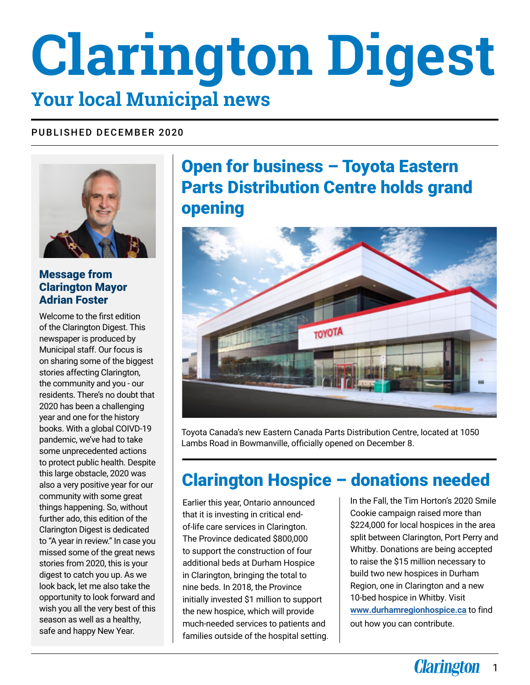## **Clarington Digest Your local Municipal news**

#### PUBLISHED DECEMBER 2020



#### Message from Clarington Mayor Adrian Foster

Welcome to the first edition of the Clarington Digest. This newspaper is produced by Municipal staff. Our focus is on sharing some of the biggest stories affecting Clarington, the community and you - our residents. There's no doubt that 2020 has been a challenging year and one for the history books. With a global COIVD-19 pandemic, we've had to take some unprecedented actions to protect public health. Despite this large obstacle, 2020 was also a very positive year for our community with some great things happening. So, without further ado, this edition of the Clarington Digest is dedicated to "A year in review." In case you missed some of the great news stories from 2020, this is your digest to catch you up. As we look back, let me also take the opportunity to look forward and wish you all the very best of this season as well as a healthy, safe and happy New Year.

### Open for business – Toyota Eastern Parts Distribution Centre holds grand opening



Toyota Canada's new Eastern Canada Parts Distribution Centre, located at 1050 Lambs Road in Bowmanville, officially opened on December 8.

## Clarington Hospice – donations needed

Earlier this year, Ontario announced that it is investing in critical endof-life care services in Clarington. The Province dedicated \$800,000 to support the construction of four additional beds at Durham Hospice in Clarington, bringing the total to nine beds. In 2018, the Province initially invested \$1 million to support the new hospice, which will provide much-needed services to patients and families outside of the hospital setting. In the Fall, the Tim Horton's 2020 Smile Cookie campaign raised more than \$224,000 for local hospices in the area split between Clarington, Port Perry and Whitby. Donations are being accepted to raise the \$15 million necessary to build two new hospices in Durham Region, one in Clarington and a new 10-bed hospice in Whitby. Visit **www.durhamregionhospice.ca** to find out how you can contribute.

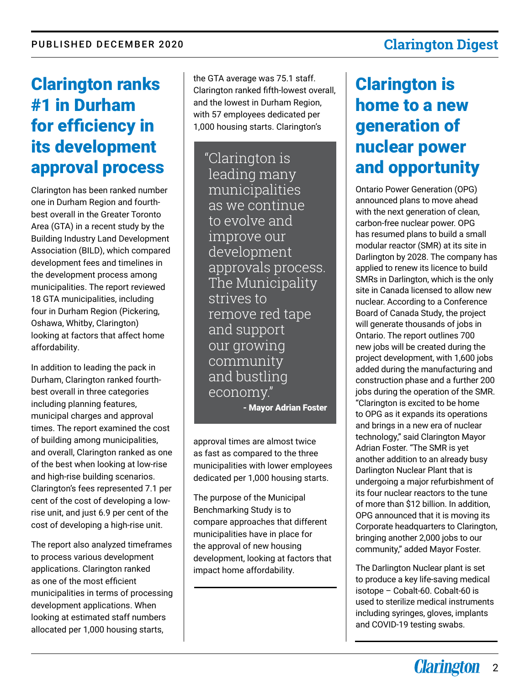#### Clarington ranks #1 in Durham for efficiency in its development approval process

Clarington has been ranked number one in Durham Region and fourthbest overall in the Greater Toronto Area (GTA) in a recent study by the Building Industry Land Development Association (BILD), which compared development fees and timelines in the development process among municipalities. The report reviewed 18 GTA municipalities, including four in Durham Region (Pickering, Oshawa, Whitby, Clarington) looking at factors that affect home affordability.

In addition to leading the pack in Durham, Clarington ranked fourthbest overall in three categories including planning features, municipal charges and approval times. The report examined the cost of building among municipalities, and overall, Clarington ranked as one of the best when looking at low-rise and high-rise building scenarios. Clarington's fees represented 7.1 per cent of the cost of developing a lowrise unit, and just 6.9 per cent of the cost of developing a high-rise unit.

The report also analyzed timeframes to process various development applications. Clarington ranked as one of the most efficient municipalities in terms of processing development applications. When looking at estimated staff numbers allocated per 1,000 housing starts,

the GTA average was 75.1 staff. Clarington ranked fifth-lowest overall, and the lowest in Durham Region, with 57 employees dedicated per 1,000 housing starts. Clarington's

"Clarington is leading many municipalities as we continue to evolve and improve our development approvals process. The Municipality strives to remove red tape and support our growing community and bustling economy." - Mayor Adrian Foster

approval times are almost twice as fast as compared to the three municipalities with lower employees dedicated per 1,000 housing starts.

The purpose of the Municipal Benchmarking Study is to compare approaches that different municipalities have in place for the approval of new housing development, looking at factors that impact home affordability.

# Clarington is

## home to a new generation of nuclear power and opportunity

Ontario Power Generation (OPG) announced plans to move ahead with the next generation of clean, carbon-free nuclear power. OPG has resumed plans to build a small modular reactor (SMR) at its site in Darlington by 2028. The company has applied to renew its licence to build SMRs in Darlington, which is the only site in Canada licensed to allow new nuclear. According to a Conference Board of Canada Study, the project will generate thousands of jobs in Ontario. The report outlines 700 new jobs will be created during the project development, with 1,600 jobs added during the manufacturing and construction phase and a further 200 jobs during the operation of the SMR. "Clarington is excited to be home to OPG as it expands its operations and brings in a new era of nuclear technology," said Clarington Mayor Adrian Foster. "The SMR is yet another addition to an already busy Darlington Nuclear Plant that is undergoing a major refurbishment of its four nuclear reactors to the tune of more than \$12 billion. In addition, OPG announced that it is moving its Corporate headquarters to Clarington, bringing another 2,000 jobs to our community," added Mayor Foster.

The Darlington Nuclear plant is set to produce a key life-saving medical isotope – Cobalt-60. Cobalt-60 is used to sterilize medical instruments including syringes, gloves, implants and COVID-19 testing swabs.